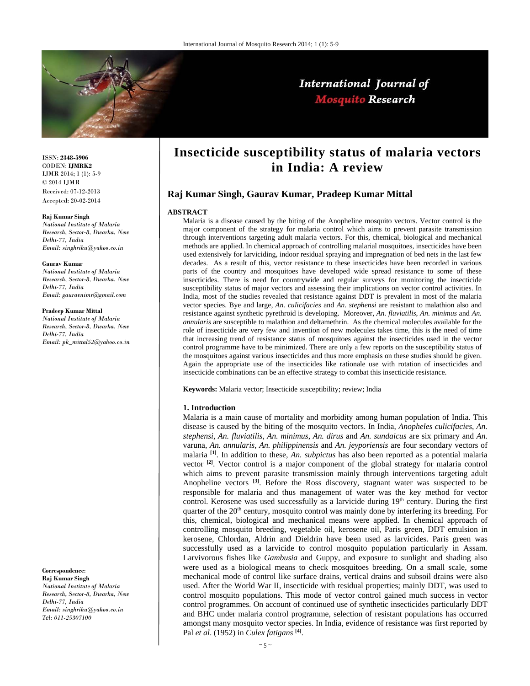

# International Journal of **Mosquito Research**

ISSN: **2348-5906** CODEN: **IJMRK2** IJMR 2014; 1 (1): 5-9 © 2014 IJMR Received: 07-12-2013 Accepted: 20-02-2014

#### **Raj Kumar Singh**

*National Institute of Malaria Research, Sector-8, Dwarka, New Delhi-77, India Email: singhriku@yahoo.co.in*

#### **Gaurav Kumar**

*National Institute of Malaria Research, Sector-8, Dwarka, New Delhi-77, India Email: gauravnimr@gmail.com* 

#### **Pradeep Kumar Mittal**

*National Institute of Malaria Research, Sector-8, Dwarka, New Delhi-77, India Email: pk\_mittal52@yahoo.co.in*

**Correspondence**:

**Raj Kumar Singh**  *National Institute of Malaria Research, Sector-8, Dwarka, New Delhi-77, India Email: singhriku@yahoo.co.in Tel: 011-25307100* 

## **Insecticide susceptibility status of malaria vectors in India: A review**

## **Raj Kumar Singh, Gaurav Kumar, Pradeep Kumar Mittal**

#### **ABSTRACT**

Malaria is a disease caused by the biting of the Anopheline mosquito vectors. Vector control is the major component of the strategy for malaria control which aims to prevent parasite transmission through interventions targeting adult malaria vectors. For this, chemical, biological and mechanical methods are applied. In chemical approach of controlling malarial mosquitoes, insecticides have been used extensively for larviciding, indoor residual spraying and impregnation of bed nets in the last few decades. As a result of this, vector resistance to these insecticides have been recorded in various parts of the country and mosquitoes have developed wide spread resistance to some of these insecticides. There is need for countrywide and regular surveys for monitoring the insecticide susceptibility status of major vectors and assessing their implications on vector control activities. In India, most of the studies revealed that resistance against DDT is prevalent in most of the malaria vector species. Bye and large, *An. culicifacies* and *An. stephensi* are resistant to malathion also and resistance against synthetic pyrethroid is developing. Moreover, *An. fluviatilis*, *An. minimus* and *An. annularis* are susceptible to malathion and deltamethrin. As the chemical molecules available for the role of insecticide are very few and invention of new molecules takes time, this is the need of time that increasing trend of resistance status of mosquitoes against the insecticides used in the vector control programme have to be minimized. There are only a few reports on the susceptibility status of the mosquitoes against various insecticides and thus more emphasis on these studies should be given. Again the appropriate use of the insecticides like rationale use with rotation of insecticides and insecticide combinations can be an effective strategy to combat this insecticide resistance.

**Keywords:** Malaria vector; Insecticide susceptibility; review; India

#### **1. Introduction**

Malaria is a main cause of mortality and morbidity among human population of India. This disease is caused by the biting of the mosquito vectors. In India, *Anopheles culicifacies*, *An. stephensi*, *An. fluviatilis*, *An. minimus*, *An. dirus* and *An. sundaicus* are six primary and *An.*  varuna, *An. annularis*, *An. philippinensis* and *An. jeyporiensis* are four secondary vectors of malaria **[1]**. In addition to these, *An. subpictus* has also been reported as a potential malaria vector **[2]**. Vector control is a major component of the global strategy for malaria control which aims to prevent parasite transmission mainly through interventions targeting adult Anopheline vectors **[3]**. Before the Ross discovery, stagnant water was suspected to be responsible for malaria and thus management of water was the key method for vector control. Kerosene was used successfully as a larvicide during  $19<sup>th</sup>$  century. During the first quarter of the  $20<sup>th</sup>$  century, mosquito control was mainly done by interfering its breeding. For this, chemical, biological and mechanical means were applied. In chemical approach of controlling mosquito breeding, vegetable oil, kerosene oil, Paris green, DDT emulsion in kerosene, Chlordan, Aldrin and Dieldrin have been used as larvicides. Paris green was successfully used as a larvicide to control mosquito population particularly in Assam. Larvivorous fishes like *Gambusia* and Guppy, and exposure to sunlight and shading also were used as a biological means to check mosquitoes breeding. On a small scale, some mechanical mode of control like surface drains, vertical drains and subsoil drains were also used. After the World War II, insecticide with residual properties; mainly DDT, was used to control mosquito populations. This mode of vector control gained much success in vector control programmes. On account of continued use of synthetic insecticides particularly DDT and BHC under malaria control programme, selection of resistant populations has occurred amongst many mosquito vector species. In India, evidence of resistance was first reported by Pal *et al*. (1952) in *Culex fatigans* **[4]**.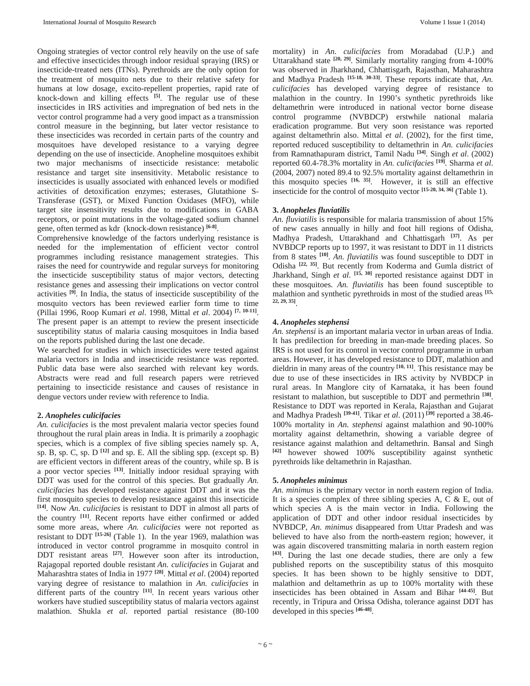Ongoing strategies of vector control rely heavily on the use of safe and effective insecticides through indoor residual spraying (IRS) or insecticide-treated nets (ITNs). Pyrethroids are the only option for the treatment of mosquito nets due to their relative safety for humans at low dosage, excito-repellent properties, rapid rate of knock-down and killing effects **[5]**. The regular use of these insecticides in IRS activities and impregnation of bed nets in the vector control programme had a very good impact as a transmission control measure in the beginning, but later vector resistance to these insecticides was recorded in certain parts of the country and mosquitoes have developed resistance to a varying degree depending on the use of insecticide. Anopheline mosquitoes exhibit two major mechanisms of insecticide resistance: metabolic resistance and target site insensitivity. Metabolic resistance to insecticides is usually associated with enhanced levels or modified activities of detoxification enzymes; esterases, Glutathione S-Transferase (GST), or Mixed Function Oxidases (MFO), while target site insensitivity results due to modifications in GABA receptors, or point mutations in the voltage-gated sodium channel gene, often termed as kdr (knock-down resistance) **[6-8]**.

Comprehensive knowledge of the factors underlying resistance is needed for the implementation of efficient vector control programmes including resistance management strategies. This raises the need for countrywide and regular surveys for monitoring the insecticide susceptibility status of major vectors, detecting resistance genes and assessing their implications on vector control activities **[9]**. In India, the status of insecticide susceptibility of the mosquito vectors has been reviewed earlier form time to time (Pillai 1996, Roop Kumari *et al*. 1998, Mittal *et al*. 2004) **[7, 10-11]**. The present paper is an attempt to review the present insecticide susceptibility status of malaria causing mosquitoes in India based on the reports published during the last one decade.

We searched for studies in which insecticides were tested against malaria vectors in India and insecticide resistance was reported. Public data base were also searched with relevant key words. Abstracts were read and full research papers were retrieved pertaining to insecticide resistance and causes of resistance in dengue vectors under review with reference to India.

## **2.** *Anopheles culicifacies*

*An. culicifacies* is the most prevalent malaria vector species found throughout the rural plain areas in India. It is primarily a zoophagic species, which is a complex of five sibling species namely sp. A, sp. B, sp. C, sp. D **[12]** and sp. E. All the sibling spp. (except sp. B) are efficient vectors in different areas of the country, while sp. B is a poor vector species **[13]**. Initially indoor residual spraying with DDT was used for the control of this species. But gradually *An. culicifacies* has developed resistance against DDT and it was the first mosquito species to develop resistance against this insecticide **[14]**. Now *An. culicifacies* is resistant to DDT in almost all parts of the country **[11]**. Recent reports have either confirmed or added some more areas, where *An. culicifacies* were not reported as resistant to DDT **[15-26]** (Table 1). In the year 1969, malathion was introduced in vector control programme in mosquito control in DDT resistant areas <sup>[27]</sup>. However soon after its introduction, Rajagopal reported double resistant *An. culicifacies* in Gujarat and Maharashtra states of India in 1977 **[28]**. Mittal *et al*. (2004) reported varying degree of resistance to malathion in *An. culicifacies* in different parts of the country **[11]**. In recent years various other workers have studied susceptibility status of malaria vectors against malathion. Shukla *et al*. reported partial resistance (80-100 mortality) in *An. culicifacies* from Moradabad (U.P.) and Uttarakhand state **[20, 29]**. Similarly mortality ranging from 4-100% was observed in Jharkhand, Chhattisgarh, Rajasthan, Maharashtra and Madhya Pradesh **[15-18, 30-33]**. These reports indicate that, *An. culicifacies* has developed varying degree of resistance to malathion in the country. In 1990's synthetic pyrethroids like deltamethrin were introduced in national vector borne disease control programme (NVBDCP) erstwhile national malaria eradication programme. But very soon resistance was reported against deltamethrin also. Mittal *et al*. (2002), for the first time, reported reduced susceptibility to deltamethrin in *An. culicifacies* from Ramnathapuram district, Tamil Nadu **[34]**. Singh *et al*. (2002) reported 60.4-78.3% mortality in *An. culicifacies* **[19]**. Sharma *et al*. (2004, 2007) noted 89.4 to 92.5% mortality against deltamethrin in this mosquito species **[16, 35]**. However, it is still an effective insecticide for the control of mosquito vector **[15-20, 34, 36]** (Table 1).

## **3.** *Anopheles fluviatilis*

*An. fluviatilis* is responsible for malaria transmission of about 15% of new cases annually in hilly and foot hill regions of Odisha, Madhya Pradesh, Uttarakhand and Chhattisgarh **[37]**. As per NVBDCP reports up to 1997, it was resistant to DDT in 11 districts from 8 states **[10]**. *An. fluviatilis* was found susceptible to DDT in Odisha **[22, 35]**. But recently from Koderma and Gumla district of Jharkhand, Singh *et al*. **[15, 30]** reported resistance against DDT in these mosquitoes. *An. fluviatilis* has been found susceptible to malathion and synthetic pyrethroids in most of the studied areas **[15, 22, 29, 35]**.

### **4.** *Anopheles stephensi*

*An. stephensi* is an important malaria vector in urban areas of India. It has predilection for breeding in man-made breeding places. So IRS is not used for its control in vector control programme in urban areas. However, it has developed resistance to DDT, malathion and dieldrin in many areas of the country **[10, 11]**. This resistance may be due to use of these insecticides in IRS activity by NVBDCP in rural areas. In Manglore city of Karnataka, it has been found resistant to malathion, but susceptible to DDT and permethrin **[38]**. Resistance to DDT was reported in Kerala, Rajasthan and Gujarat and Madhya Pradesh **[39-41]**. Tikar *et al*. (2011) **[39]** reported a 38.46- 100% mortality in *An. stephensi* against malathion and 90-100% mortality against deltamethrin, showing a variable degree of resistance against malathion and deltamethrin. Bansal and Singh **[42]** however showed 100% susceptibility against synthetic pyrethroids like deltamethrin in Rajasthan.

### **5.** *Anopheles minimus*

*An. minimus* is the primary vector in north eastern region of India. It is a species complex of three sibling species A,  $C$  & E, out of which species A is the main vector in India. Following the application of DDT and other indoor residual insecticides by NVBDCP, *An. minimus* disappeared from Uttar Pradesh and was believed to have also from the north-eastern region; however, it was again discovered transmitting malaria in north eastern region **[43]**. During the last one decade studies, there are only a few published reports on the susceptibility status of this mosquito species. It has been shown to be highly sensitive to DDT, malathion and deltamethrin as up to 100% mortality with these insecticides has been obtained in Assam and Bihar **[44-45]**. But recently, in Tripura and Orissa Odisha, tolerance against DDT has developed in this species **[46-48]**.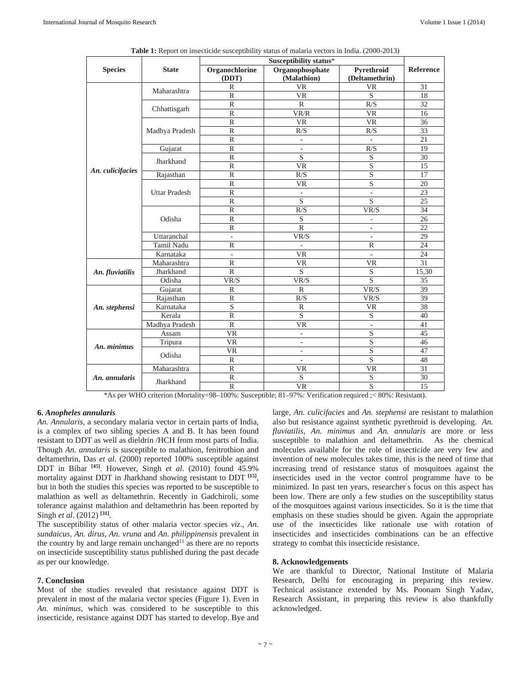| <b>Species</b>                                                                                           | <b>State</b>         | Susceptibility status*   |                                |                              |           |
|----------------------------------------------------------------------------------------------------------|----------------------|--------------------------|--------------------------------|------------------------------|-----------|
|                                                                                                          |                      | Organochlorine<br>(DDT)  | Organophosphate<br>(Malathion) | Pyrethroid<br>(Deltamethrin) | Reference |
| An. culicifacies                                                                                         | Maharashtra          | $\mathbb{R}$             | <b>VR</b>                      | VR                           | 31        |
|                                                                                                          |                      | $\mathbb{R}$             | <b>VR</b>                      | $\overline{S}$               | 18        |
|                                                                                                          | Chhattisgarh         | $\mathbb{R}$             | $\mathbb{R}$                   | R/S                          | 32        |
|                                                                                                          |                      | R                        | VR/R                           | <b>VR</b>                    | 16        |
|                                                                                                          | Madhya Pradesh       | $\mathbb{R}$             | <b>VR</b>                      | <b>VR</b>                    | 36        |
|                                                                                                          |                      | $\mathbb{R}$             | R/S                            | R/S                          | 33        |
|                                                                                                          |                      | $\mathbb{R}$             | L,                             | $\overline{a}$               | 21        |
|                                                                                                          | Gujarat              | $\mathbb{R}$             | $\overline{\phantom{a}}$       | R/S                          | 19        |
|                                                                                                          | Jharkhand            | $\mathbb{R}$             | S                              | S                            | 30        |
|                                                                                                          |                      | $\mathbb{R}$             | VR                             | S                            | 15        |
|                                                                                                          | Rajasthan            | $\mathbb{R}$             | R/S                            | $\mathbf S$                  | 17        |
|                                                                                                          | <b>Uttar Pradesh</b> | ${\mathbb R}$            | <b>VR</b>                      | S                            | 20        |
|                                                                                                          |                      | $\mathbb{R}$             | $\overline{\phantom{a}}$       | $\overline{\phantom{a}}$     | 23        |
|                                                                                                          |                      | $\overline{R}$           | S                              | S                            | 25        |
|                                                                                                          | Odisha               | $\mathbb{R}$             | R/S                            | VR/S                         | 34        |
|                                                                                                          |                      | $\mathbb R$              | S                              |                              | 26        |
|                                                                                                          |                      | $\mathbb{R}$             | $\mathbb{R}$                   |                              | 22        |
|                                                                                                          | Uttaranchal          | $\overline{\phantom{a}}$ | VR/S                           | $\sim$                       | 29        |
|                                                                                                          | Tamil Nadu           | $\mathbb{R}$             | $\overline{\phantom{a}}$       | $\mathbb{R}$                 | 24        |
|                                                                                                          | Karnataka            | $\overline{\phantom{a}}$ | <b>VR</b>                      | $\bar{a}$                    | 24        |
| An. fluviatilis                                                                                          | Maharashtra          | R                        | VR.                            | VR                           | 31        |
|                                                                                                          | Jharkhand            | $\mathbb{R}$             | S                              | S                            | 15,30     |
|                                                                                                          | Odisha               | VR/S                     | VR/S                           | S                            | 35        |
| An. stephensi                                                                                            | Gujarat              | $\mathbb{R}$             | $\mathbb{R}$                   | VR/S                         | 39        |
|                                                                                                          | Rajasthan            | $\mathbb{R}$             | R/S                            | VR/S                         | 39        |
|                                                                                                          | Karnataka            | $\overline{\mathbf{S}}$  | $\mathbb{R}$                   | <b>VR</b>                    | 38        |
|                                                                                                          | Kerala               | $\mathbb{R}$             | $\overline{S}$                 | S                            | 40        |
|                                                                                                          | Madhya Pradesh       | $\mathbb{R}$             | <b>VR</b>                      |                              | 41        |
| An. minimus                                                                                              | Assam                | <b>VR</b>                | ÷,                             | S                            | 45        |
|                                                                                                          | Tripura              | <b>VR</b>                | ÷.                             | S                            | 46        |
|                                                                                                          | Odisha               | VR                       | $\overline{\phantom{a}}$       | S                            | 47        |
|                                                                                                          |                      | $\mathbb{R}$             | $\overline{\phantom{a}}$       | S                            | 48        |
| An. annularis                                                                                            | Maharashtra          | $\mathbb{R}$             | VR.                            | <b>VR</b>                    | 31        |
|                                                                                                          | Jharkhand            | $\mathbb{R}$             | S                              | S                            | 30        |
|                                                                                                          |                      | $\mathbb{R}$             | <b>VR</b>                      | S                            | 15        |
| *As per WHO criterion (Mortality=98-100%: Susceptible; 81-97%: Verification required ;< 80%: Resistant). |                      |                          |                                |                              |           |

**Table 1:** Report on insecticide susceptibility status of malaria vectors in India. (2000-2013)

**6.** *Anopheles annularis*

*An. Annularis,* a secondary malaria vector in certain parts of India, is a complex of two sibling species A and B. It has been found resistant to DDT as well as dieldrin /HCH from most parts of India. Though *An. annularis* is susceptible to malathion, fenitrothion and deltamethrin, Das *et al*. (2000) reported 100% susceptible against DDT in Bihar **[45]**. However, Singh *et al*. (2010) found 45.9% mortality against DDT in Jharkhand showing resistant to DDT **[15]**, but in both the studies this species was reported to be susceptible to malathion as well as deltamethrin. Recently in Gadchiroli, some tolerance against malathion and deltamethrin has been reported by Singh *et al*. (2012) **[31]**.

The susceptibility status of other malaria vector species *viz*., *An. sundaicus, An. dirus, An. vruna* and *An. philippinensis* prevalent in the country by and large remain unchanged<sup>11</sup> as there are no reports on insecticide susceptibility status published during the past decade as per our knowledge.

## **7. Conclusion**

Most of the studies revealed that resistance against DDT is prevalent in most of the malaria vector species (Figure 1). Even in *An. minimus*, which was considered to be susceptible to this insecticide, resistance against DDT has started to develop. Bye and large, *An. culicifacies* and *An. stephensi* are resistant to malathion also but resistance against synthetic pyrethroid is developing. *An. fluviatilis*, *An. minimus* and *An. annularis* are more or less susceptible to malathion and deltamethrin. As the chemical molecules available for the role of insecticide are very few and invention of new molecules takes time, this is the need of time that increasing trend of resistance status of mosquitoes against the insecticides used in the vector control programme have to be minimized. In past ten years, researcher' s focus on this aspect has been low. There are only a few studies on the susceptibility status of the mosquitoes against various insecticides. So it is the time that emphasis on these studies should be given. Again the appropriate use of the insecticides like rationale use with rotation of insecticides and insecticides combinations can be an effective strategy to combat this insecticide resistance.

## **8. Acknowledgements**

We are thankful to Director, National Institute of Malaria Research, Delhi for encouraging in preparing this review. Technical assistance extended by Ms. Poonam Singh Yadav, Research Assistant, in preparing this review is also thankfully acknowledged.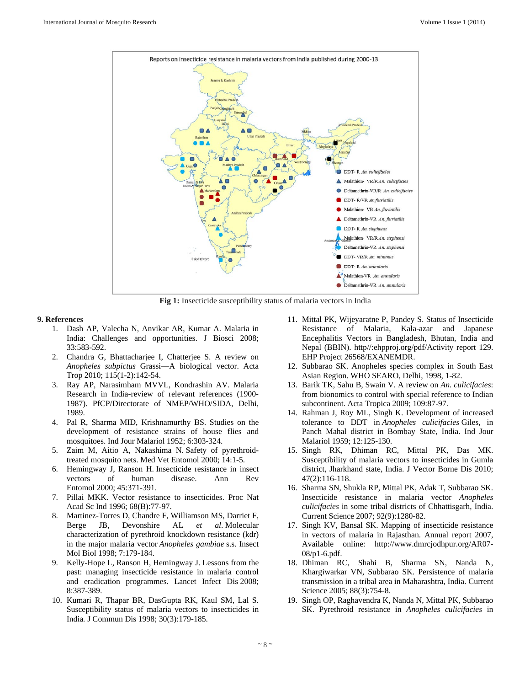

**Fig 1:** Insecticide susceptibility status of malaria vectors in India

#### **9. References**

- 1. Dash AP, Valecha N, Anvikar AR, Kumar A. Malaria in India: Challenges and opportunities. J Biosci 2008; 33:583-592.
- 2. Chandra G, Bhattacharjee I, Chatterjee S. A review on *Anopheles subpictus* Grassi—A biological vector. Acta Trop 2010; 115(1-2):142-54.
- 3. Ray AP, Narasimham MVVL, Kondrashin AV. Malaria Research in India-review of relevant references (1900- 1987). PfCP/Directorate of NMEP/WHO/SIDA, Delhi, 1989.
- 4. Pal R, Sharma MID, Krishnamurthy BS. Studies on the development of resistance strains of house flies and mosquitoes. Ind Jour Malariol 1952; 6:303-324.
- 5. Zaim M, Aitio A, Nakashima N. Safety of pyrethroidtreated mosquito nets. Med Vet Entomol 2000; 14:1-5.
- 6. Hemingway J, Ranson H. Insecticide resistance in insect vectors of human disease. Ann Rev Entomol 2000; 45:371-391.
- 7. Pillai MKK. Vector resistance to insecticides. Proc Nat Acad Sc Ind 1996; 68(B):77-97.
- 8. Martinez-Torres D, Chandre F, Williamson MS, Darriet F, Berge JB, Devonshire AL *et al*. Molecular characterization of pyrethroid knockdown resistance (kdr) in the major malaria vector *Anopheles gambiae* s.s. Insect Mol Biol 1998; 7:179-184.
- 9. Kelly-Hope L, Ranson H, Hemingway J. Lessons from the past: managing insecticide resistance in malaria control and eradication programmes. Lancet Infect Dis 2008; 8:387-389.
- 10. Kumari R, Thapar BR, DasGupta RK, Kaul SM, Lal S. Susceptibility status of malaria vectors to insecticides in India*.* J Commun Dis 1998; 30(3):179-185.
- 11. Mittal PK, Wijeyaratne P, Pandey S. Status of Insecticide Resistance of Malaria, Kala-azar and Japanese Encephalitis Vectors in Bangladesh, Bhutan, India and Nepal (BBIN). http//:ehpproj.org/pdf/Activity report 129. EHP Project 26568/EXANEMDR.
- 12. Subbarao SK. Anopheles species complex in South East Asian Region. WHO SEARO, Delhi, 1998, 1-82.
- 13. Barik TK, Sahu B, Swain V. A review on *An. culicifacies*: from bionomics to control with special reference to Indian subcontinent. Acta Tropica 2009; 109:87-97.
- 14. Rahman J, Roy ML, Singh K. Development of increased tolerance to DDT in *Anopheles culicifacies* Giles, in Panch Mahal district in Bombay State, India. Ind Jour Malariol 1959; 12:125-130.
- 15. Singh RK, Dhiman RC, Mittal PK, Das MK. Susceptibility of malaria vectors to insecticides in Gumla district, Jharkhand state, India. J Vector Borne Dis 2010; 47(2):116-118.
- 16. Sharma SN, Shukla RP, Mittal PK, Adak T, Subbarao SK. Insecticide resistance in malaria vector *Anopheles culicifacies* in some tribal districts of Chhattisgarh, India. Current Science 2007; 92(9):1280-82.
- 17. Singh KV, Bansal SK. Mapping of insecticide resistance in vectors of malaria in Rajasthan. Annual report 2007, Available online: http://www.dmrcjodhpur.org/AR07- 08/p1-6.pdf.
- 18. Dhiman RC, Shahi B, Sharma SN, Nanda N, Khargiwarkar VN, Subbarao SK. Persistence of malaria transmission in a tribal area in Maharashtra, India. Current Science 2005; 88(3):754-8.
- 19. Singh OP, Raghavendra K, Nanda N, Mittal PK, Subbarao SK. Pyrethroid resistance in *Anopheles culicifacies* in